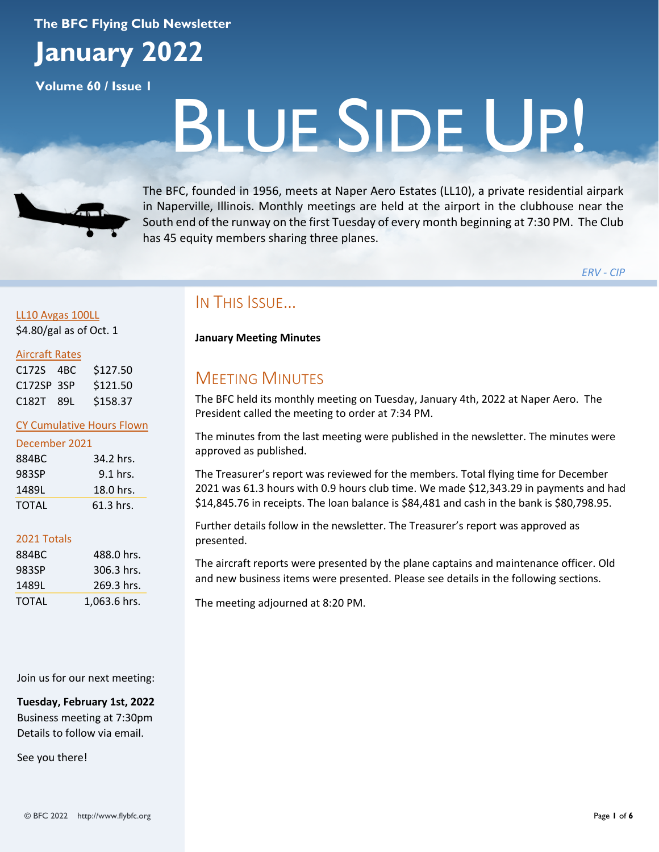#### **The BFC Flying Club Newsletter**

# **January 2022**

**Volume 60 / Issue 1**

# BLUE SIDE UP!



The BFC, founded in 1956, meets at Naper Aero Estates (LL10), a private residential airpark in Naperville, Illinois. Monthly meetings are held at the airport in the clubhouse near the South end of the runway on the first Tuesday of every month beginning at 7:30 PM. The Club has 45 equity members sharing three planes.

*ERV - CIP*

#### LL10 Avgas 100LL \$4.80/gal as of Oct. 1

#### Aircraft Rates

| C172S 4BC  | \$127.50 |
|------------|----------|
| C172SP 3SP | \$121.50 |
| C182T 89L  | \$158.37 |

#### CY Cumulative Hours Flown

| 884BC | 34.2 hrs.  |
|-------|------------|
| 983SP | $9.1$ hrs. |
| 1489L | 18.0 hrs.  |
| TOTAL | 61.3 hrs.  |

#### 2021 Totals

| 884BC | 488.0 hrs.   |
|-------|--------------|
| 983SP | 306.3 hrs.   |
| 1489L | 269.3 hrs.   |
| TOTAL | 1,063.6 hrs. |

Join us for our next meeting:

**Tuesday, February 1st, 2022** Business meeting at 7:30pm Details to follow via email.

See you there!

# IN THIS ISSUE…

#### **January Meeting Minutes**

# **MEETING MINUTES**

The BFC held its monthly meeting on Tuesday, January 4th, 2022 at Naper Aero. The President called the meeting to order at 7:34 PM.

The minutes from the last meeting were published in the newsletter. The minutes were approved as published.

The Treasurer's report was reviewed for the members. Total flying time for December 2021 was 61.3 hours with 0.9 hours club time. We made \$12,343.29 in payments and had \$14,845.76 in receipts. The loan balance is \$84,481 and cash in the bank is \$80,798.95.

Further details follow in the newsletter. The Treasurer's report was approved as presented.

The aircraft reports were presented by the plane captains and maintenance officer. Old and new business items were presented. Please see details in the following sections.

The meeting adjourned at 8:20 PM.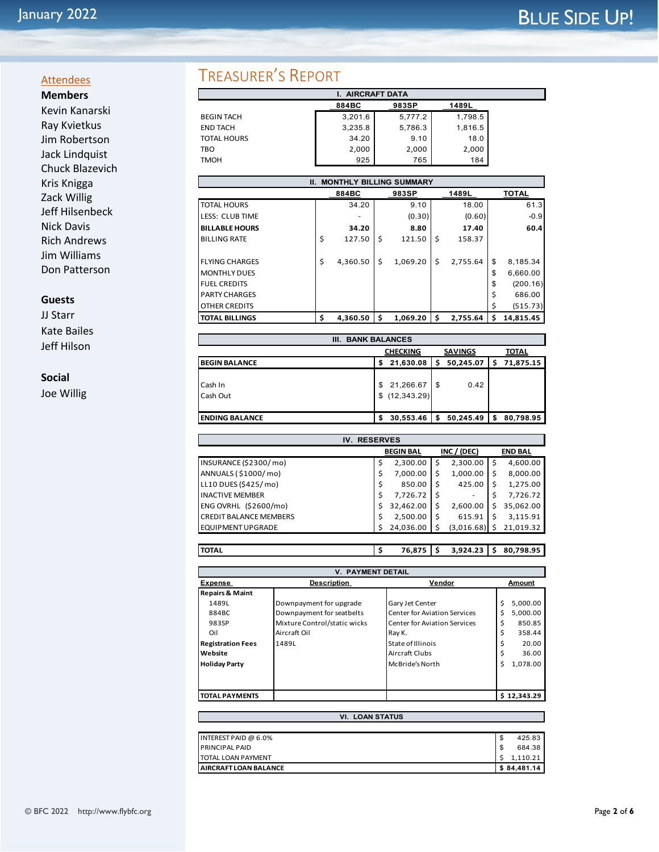# January 2022 **BLUE SIDE UP!**

#### **Attendees Members**

Kevin Kanarski Ray Kvietkus Jim Robertson Jack Lindquist Chuck Blazevich Kris Knigga Zack Willig Jeff Hilsenbeck Nick Davis Rich Andrews Jim Williams Don Patterson

#### **Guests**

JJ Starr Kate Bailes Jeff Hilson

#### **Social**

Joe Willig

# TREASURER'S REPORT

| <b>I. AIRCRAFT DATA</b> |         |         |         |  |  |
|-------------------------|---------|---------|---------|--|--|
|                         | 884BC   | 983SP   | 1489L   |  |  |
| <b>BEGIN TACH</b>       | 3,201.6 | 5,777.2 | 1,798.5 |  |  |
| <b>END TACH</b>         | 3,235.8 | 5,786.3 | 1,816.5 |  |  |
| <b>TOTAL HOURS</b>      | 34.20   | 9.10    | 18.0    |  |  |
| TBO                     | 2,000   | 2,000   | 2,000   |  |  |
| <b>TMOH</b>             | 925     | 765     | 184     |  |  |

| <b>II. MONTHLY BILLING SUMMARY</b> |    |          |    |          |    |          |    |              |
|------------------------------------|----|----------|----|----------|----|----------|----|--------------|
|                                    |    | 884BC    |    | 983SP    |    | 1489L    |    | <b>TOTAL</b> |
| <b>TOTAL HOURS</b>                 |    | 34.20    |    | 9.10     |    | 18.00    |    | 61.3         |
| LESS: CLUB TIME                    |    |          |    | (0.30)   |    | (0.60)   |    | $-0.9$       |
| <b>BILLABLE HOURS</b>              |    | 34.20    |    | 8.80     |    | 17.40    |    | 60.4         |
| <b>BILLING RATE</b>                | \$ | 127.50   | \$ | 121.50   | \$ | 158.37   |    |              |
|                                    |    |          |    |          |    |          |    |              |
| <b>FLYING CHARGES</b>              | \$ | 4,360.50 | Ś  | 1.069.20 | Ś  | 2.755.64 | \$ | 8,185.34     |
| <b>MONTHLY DUES</b>                |    |          |    |          |    |          | \$ | 6,660.00     |
| <b>FUEL CREDITS</b>                |    |          |    |          |    |          | \$ | (200.16)     |
| <b>PARTY CHARGES</b>               |    |          |    |          |    |          | \$ | 686.00       |
| <b>OTHER CREDITS</b>               |    |          |    |          |    |          |    | (515.73)     |
| <b>TOTAL BILLINGS</b>              | \$ | 4,360.50 | s  | 1,069.20 |    | 2,755.64 | Ś  | 14,815.45    |

| <b>BANK BALANCES</b><br>Ш. |                                                   |                           |      |           |   |           |  |  |
|----------------------------|---------------------------------------------------|---------------------------|------|-----------|---|-----------|--|--|
|                            | <b>CHECKING</b><br><b>SAVINGS</b><br><b>TOTAL</b> |                           |      |           |   |           |  |  |
| <b>BEGIN BALANCE</b>       | 50,245.07<br>21,630.08<br>S                       |                           |      |           | s | 71,875.15 |  |  |
| Cash In<br>Cash Out        | S<br>\$                                           | 21,266.67<br>(12, 343.29) | - \$ | 0.42      |   |           |  |  |
| <b>ENDING BALANCE</b>      |                                                   | 30,553.46                 | S    | 50,245.49 | S | 80,798.95 |  |  |

| <b>RESERVES</b><br>IV.        |                  |           |   |            |    |                |  |
|-------------------------------|------------------|-----------|---|------------|----|----------------|--|
|                               | <b>BEGIN BAL</b> |           |   |            |    | <b>END BAL</b> |  |
| INSURANCE (\$2300/mo)         |                  | 2,300.00  | Ś | 2,300.00   | \$ | 4,600.00       |  |
| ANNUALS (\$1000/mo)           |                  | 7,000.00  | Ś | 1,000.00   | \$ | 8,000.00       |  |
| LL10 DUES (\$425/mo)          |                  | 850.00    | Ś | 425.00     | Ś  | 1,275.00       |  |
| <b>INACTIVE MEMBER</b>        |                  | 7,726.72  |   | ۰          |    | 7,726.72       |  |
| ENG OVRHL (\$2600/mo)         | Ś                | 32,462.00 | Ś | 2,600.00   |    | 35,062.00      |  |
| <b>CREDIT BALANCE MEMBERS</b> |                  | 2,500.00  | Ś | 615.91     |    | 3,115.91       |  |
| <b>EQUIPMENT UPGRADE</b>      |                  | 24,036.00 |   | (3,016.68) |    | 21,019.32      |  |

**\$** 76,875 **\$100,798.95 \$20,798.95** 

| <b>V. PAYMENT DETAIL</b>   |                              |                                     |    |             |  |  |  |  |
|----------------------------|------------------------------|-------------------------------------|----|-------------|--|--|--|--|
| <b>Expense</b>             | <b>Description</b>           | Vendor<br>Amount                    |    |             |  |  |  |  |
| <b>Repairs &amp; Maint</b> |                              |                                     |    |             |  |  |  |  |
| 1489L                      | Downpayment for upgrade      | Gary Jet Center                     | \$ | 5,000.00    |  |  |  |  |
| 884BC                      | Downpayment for seatbelts    | <b>Center for Aviation Services</b> | Ś  | 5,000.00    |  |  |  |  |
| 983SP                      | Mixture Control/static wicks | <b>Center for Aviation Services</b> | \$ | 850.85      |  |  |  |  |
| Oil                        | Aircraft Oil                 | Ray K.                              | \$ | 358.44      |  |  |  |  |
| <b>Registration Fees</b>   | 1489L                        | State of Illinois                   | \$ | 20.00       |  |  |  |  |
| Website                    |                              | Aircraft Clubs                      | \$ | 36.00       |  |  |  |  |
| <b>Holiday Party</b>       |                              | McBride's North                     | Ś  | 1,078.00    |  |  |  |  |
|                            |                              |                                     |    |             |  |  |  |  |
|                            |                              |                                     |    |             |  |  |  |  |
| <b>TOTAL PAYMENTS</b>      |                              |                                     |    | \$12,343.29 |  |  |  |  |

| <b>VI. LOAN STATUS</b>    |     |             |
|---------------------------|-----|-------------|
|                           |     |             |
| INTEREST PAID @ $6.0\%$   | \$  | 425.83      |
| <b>PRINCIPAL PAID</b>     | \$. | 684.38      |
| <b>TOTAL LOAN PAYMENT</b> |     | 1.110.21    |
| AIRCRAFT LOAN BALANCE     |     | \$84,481.14 |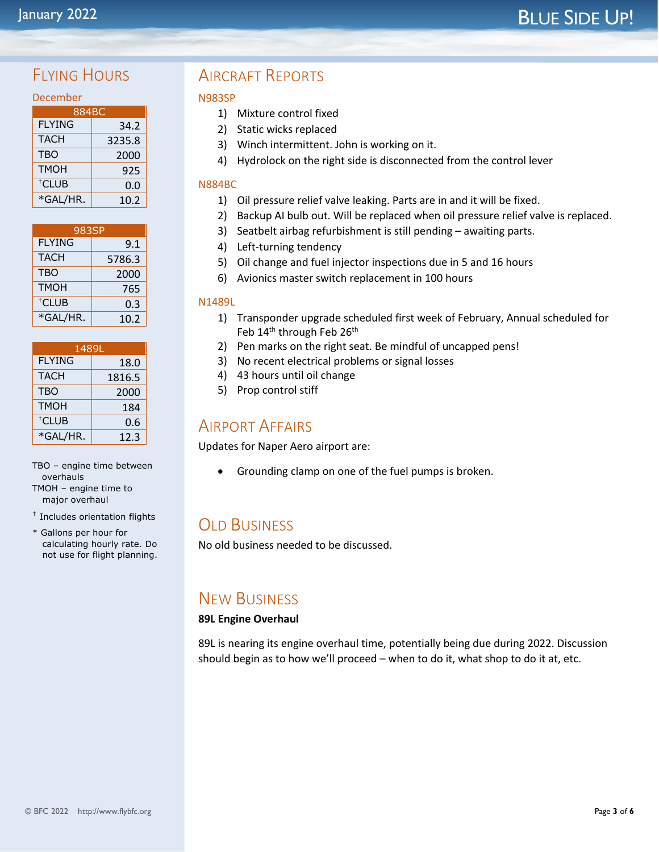# January 2022 **Manual Accord Contract Contract Contract Contract Contract Contract Contract Contract Contract Contract Contract Contract Contract Contract Contract Contract Contract Contract Contract Contract Contract Contr**

# FIYING HOURS

| 884BC             |        |  |  |  |  |
|-------------------|--------|--|--|--|--|
| <b>FLYING</b>     | 34.2   |  |  |  |  |
| <b>TACH</b>       | 3235.8 |  |  |  |  |
| <b>TBO</b>        | 2000   |  |  |  |  |
| <b>TMOH</b>       | 925    |  |  |  |  |
| <sup>†</sup> CLUB | 0.0    |  |  |  |  |
| *GAL/HR.          | 10.2   |  |  |  |  |

| 983SP         |        |  |
|---------------|--------|--|
| <b>FLYING</b> | 9.1    |  |
| <b>TACH</b>   | 5786.3 |  |
| <b>TBO</b>    | 2000   |  |
| <b>TMOH</b>   | 765    |  |
| $†CIUB$       | 0.3    |  |
| *GAL/HR.      | 10.2   |  |

| 1489L             |        |  |
|-------------------|--------|--|
| <b>FLYING</b>     | 18.0   |  |
| <b>TACH</b>       | 1816.5 |  |
| <b>TBO</b>        | 2000   |  |
| <b>TMOH</b>       | 184    |  |
| <sup>†</sup> CLUB | 0.6    |  |
| *GAL/HR.          | 12.3   |  |

TBO – engine time between overhauls TMOH – engine time to major overhaul

- † Includes orientation flights
- \* Gallons per hour for calculating hourly rate. Do not use for flight planning.

# AIRCRAFT REPORTS

#### N983SP

- 1) Mixture control fixed
- 2) Static wicks replaced
- 3) Winch intermittent. John is working on it.
- 4) Hydrolock on the right side is disconnected from the control lever

#### N884BC

- 1) Oil pressure relief valve leaking. Parts are in and it will be fixed.
- 2) Backup AI bulb out. Will be replaced when oil pressure relief valve is replaced.
- 3) Seatbelt airbag refurbishment is still pending awaiting parts.
- 4) Left-turning tendency
- 5) Oil change and fuel injector inspections due in 5 and 16 hours
- 6) Avionics master switch replacement in 100 hours

#### N1489L

- 1) Transponder upgrade scheduled first week of February, Annual scheduled for Feb 14<sup>th</sup> through Feb 26<sup>th</sup>
- 2) Pen marks on the right seat. Be mindful of uncapped pens!
- 3) No recent electrical problems or signal losses
- 4) 43 hours until oil change
- 5) Prop control stiff

### AIRPORT AFFAIRS

Updates for Naper Aero airport are:

• Grounding clamp on one of the fuel pumps is broken.

# **OLD BUSINESS**

No old business needed to be discussed.

# NEW BUSINESS

#### **89L Engine Overhaul**

89L is nearing its engine overhaul time, potentially being due during 2022. Discussion should begin as to how we'll proceed – when to do it, what shop to do it at, etc.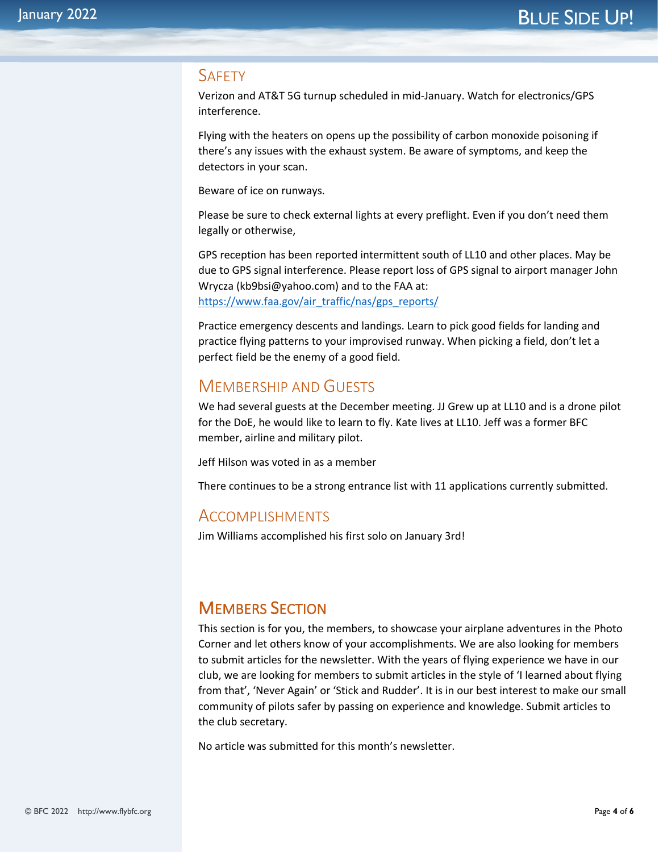#### **SAFFTY**

Verizon and AT&T 5G turnup scheduled in mid-January. Watch for electronics/GPS interference.

Flying with the heaters on opens up the possibility of carbon monoxide poisoning if there's any issues with the exhaust system. Be aware of symptoms, and keep the detectors in your scan.

Beware of ice on runways.

Please be sure to check external lights at every preflight. Even if you don't need them legally or otherwise,

GPS reception has been reported intermittent south of LL10 and other places. May be due to GPS signal interference. Please report loss of GPS signal to airport manager John Wrycza (kb9bsi@yahoo.com) and to the FAA at: https://www.faa.gov/air\_traffic/nas/gps\_reports/

Practice emergency descents and landings. Learn to pick good fields for landing and practice flying patterns to your improvised runway. When picking a field, don't let a perfect field be the enemy of a good field.

## MEMBERSHIP AND GUESTS

We had several guests at the December meeting. JJ Grew up at LL10 and is a drone pilot for the DoE, he would like to learn to fly. Kate lives at LL10. Jeff was a former BFC member, airline and military pilot.

Jeff Hilson was voted in as a member

There continues to be a strong entrance list with 11 applications currently submitted.

#### ACCOMPLISHMENTS

Jim Williams accomplished his first solo on January 3rd!

# MEMBERS SECTION

This section is for you, the members, to showcase your airplane adventures in the Photo Corner and let others know of your accomplishments. We are also looking for members to submit articles for the newsletter. With the years of flying experience we have in our club, we are looking for members to submit articles in the style of 'I learned about flying from that', 'Never Again' or 'Stick and Rudder'. It is in our best interest to make our small community of pilots safer by passing on experience and knowledge. Submit articles to the club secretary.

No article was submitted for this month's newsletter.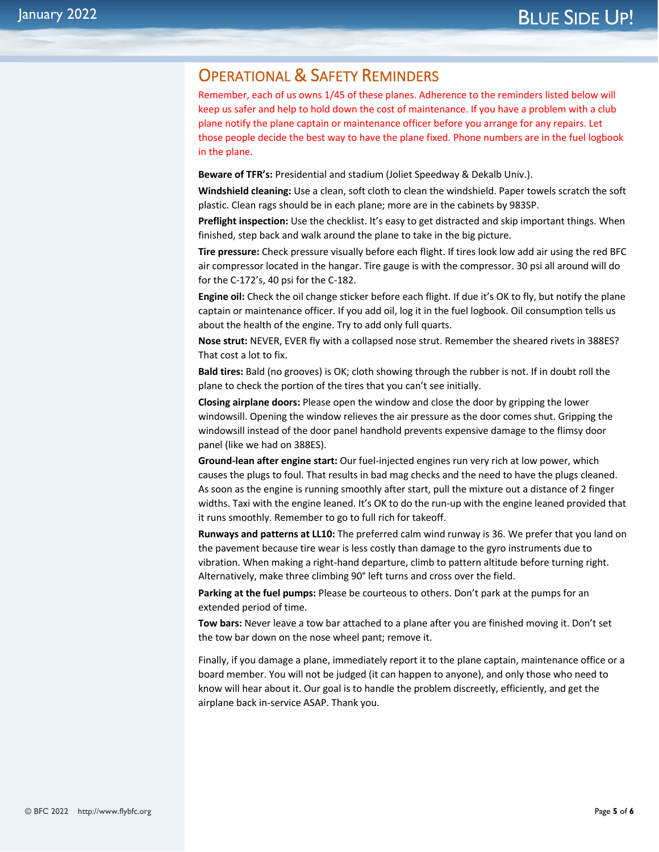## OPERATIONAL & SAFETY REMINDERS

Remember, each of us owns 1/45 of these planes. Adherence to the reminders listed below will keep us safer and help to hold down the cost of maintenance. If you have a problem with a club plane notify the plane captain or maintenance officer before you arrange for any repairs. Let those people decide the best way to have the plane fixed. Phone numbers are in the fuel logbook in the plane.

**Beware of TFR's:** Presidential and stadium (Joliet Speedway & Dekalb Univ.).

**Windshield cleaning:** Use a clean, soft cloth to clean the windshield. Paper towels scratch the soft plastic. Clean rags should be in each plane; more are in the cabinets by 983SP.

**Preflight inspection:** Use the checklist. It's easy to get distracted and skip important things. When finished, step back and walk around the plane to take in the big picture.

**Tire pressure:** Check pressure visually before each flight. If tires look low add air using the red BFC air compressor located in the hangar. Tire gauge is with the compressor. 30 psi all around will do for the C-172's, 40 psi for the C-182.

**Engine oil:** Check the oil change sticker before each flight. If due it's OK to fly, but notify the plane captain or maintenance officer. If you add oil, log it in the fuel logbook. Oil consumption tells us about the health of the engine. Try to add only full quarts.

**Nose strut:** NEVER, EVER fly with a collapsed nose strut. Remember the sheared rivets in 388ES? That cost a lot to fix.

**Bald tires:** Bald (no grooves) is OK; cloth showing through the rubber is not. If in doubt roll the plane to check the portion of the tires that you can't see initially.

**Closing airplane doors:** Please open the window and close the door by gripping the lower windowsill. Opening the window relieves the air pressure as the door comes shut. Gripping the windowsill instead of the door panel handhold prevents expensive damage to the flimsy door panel (like we had on 388ES).

**Ground-lean after engine start:** Our fuel-injected engines run very rich at low power, which causes the plugs to foul. That results in bad mag checks and the need to have the plugs cleaned. As soon as the engine is running smoothly after start, pull the mixture out a distance of 2 finger widths. Taxi with the engine leaned. It's OK to do the run-up with the engine leaned provided that it runs smoothly. Remember to go to full rich for takeoff.

**Runways and patterns at LL10:** The preferred calm wind runway is 36. We prefer that you land on the pavement because tire wear is less costly than damage to the gyro instruments due to vibration. When making a right-hand departure, climb to pattern altitude before turning right. Alternatively, make three climbing 90° left turns and cross over the field.

**Parking at the fuel pumps:** Please be courteous to others. Don't park at the pumps for an extended period of time.

**Tow bars:** Never leave a tow bar attached to a plane after you are finished moving it. Don't set the tow bar down on the nose wheel pant; remove it.

Finally, if you damage a plane, immediately report it to the plane captain, maintenance office or a board member. You will not be judged (it can happen to anyone), and only those who need to know will hear about it. Our goal is to handle the problem discreetly, efficiently, and get the airplane back in-service ASAP. Thank you.